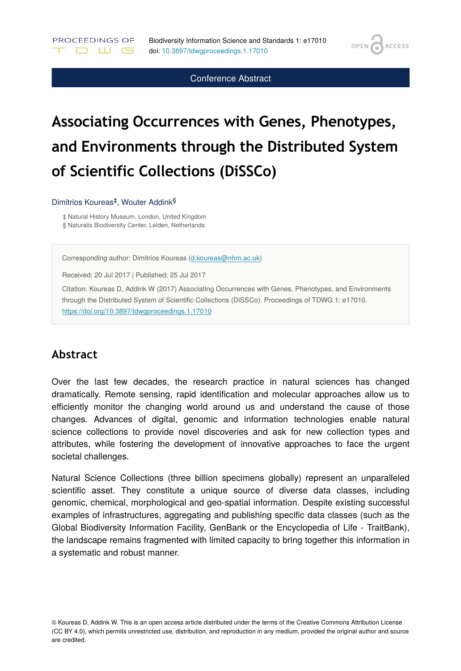**OPEN** 

**ACCESS** 

Conference Abstract

# **Associating Occurrences with Genes, Phenotypes, and Environments through the Distributed System of Scientific Collections (DiSSCo)**

#### Dimitrios Koureas<sup>‡</sup>, Wouter Addink<sup>§</sup>

PROCEEDINGS OF

. D M G .

‡ Natural History Museum, London, United Kingdom § Naturalis Biodiversity Center, Leiden, Netherlands

Corresponding author: Dimitrios Koureas [\(d.koureas@nhm.ac.uk](mailto:d.koureas@nhm.ac.uk))

Received: 20 Jul 2017 | Published: 25 Jul 2017

Citation: Koureas D, Addink W (2017) Associating Occurrences with Genes, Phenotypes, and Environments through the Distributed System of Scientific Collections (DiSSCo). Proceedings of TDWG 1: e17010. <https://doi.org/10.3897/tdwgproceedings.1.17010>

### **Abstract**

Over the last few decades, the research practice in natural sciences has changed dramatically. Remote sensing, rapid identification and molecular approaches allow us to efficiently monitor the changing world around us and understand the cause of those changes. Advances of digital, genomic and information technologies enable natural science collections to provide novel discoveries and ask for new collection types and attributes, while fostering the development of innovative approaches to face the urgent societal challenges.

Natural Science Collections (three billion specimens globally) represent an unparalleled scientific asset. They constitute a unique source of diverse data classes, including genomic, chemical, morphological and geo-spatial information. Despite existing successful examples of infrastructures, aggregating and publishing specific data classes (such as the Global Biodiversity Information Facility, GenBank or the Encyclopedia of Life - TraitBank), the landscape remains fragmented with limited capacity to bring together this information in a systematic and robust manner.